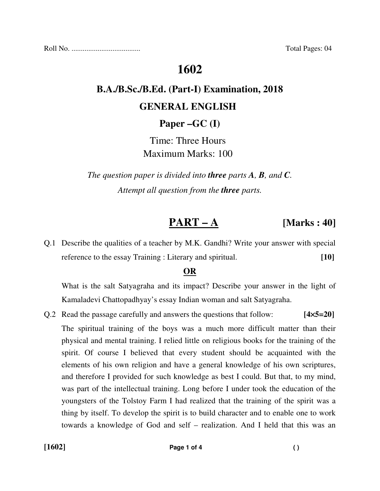Roll No. ..................................... Total Pages: 04

# **1602**

# **B.A./B.Sc./B.Ed. (Part-I) Examination, 2018 GENERAL ENGLISH**

**Paper –GC (I)**

Time: Three Hours Maximum Marks: 100

*The question paper is divided into three parts A, B, and C. Attempt all question from the three parts.*

## **PART – A [Marks : 40]**

Q.1 Describe the qualities of a teacher by M.K. Gandhi? Write your answer with special reference to the essay Training : Literary and spiritual. **[10]**

#### **OR**

 What is the salt Satyagraha and its impact? Describe your answer in the light of Kamaladevi Chattopadhyay's essay Indian woman and salt Satyagraha.

Q.2 Read the passage carefully and answers the questions that follow: **[4**×**5=20]**  The spiritual training of the boys was a much more difficult matter than their physical and mental training. I relied little on religious books for the training of the spirit. Of course I believed that every student should be acquainted with the elements of his own religion and have a general knowledge of his own scriptures, and therefore I provided for such knowledge as best I could. But that, to my mind, was part of the intellectual training. Long before I under took the education of the youngsters of the Tolstoy Farm I had realized that the training of the spirit was a thing by itself. To develop the spirit is to build character and to enable one to work towards a knowledge of God and self – realization. And I held that this was an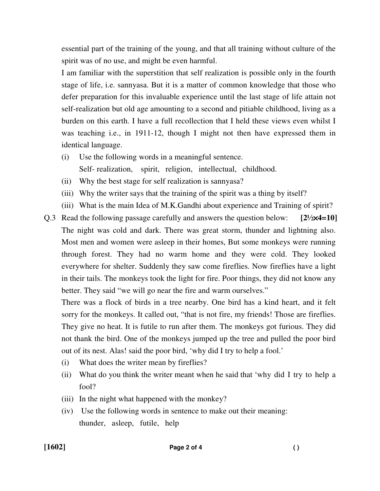essential part of the training of the young, and that all training without culture of the spirit was of no use, and might be even harmful.

 I am familiar with the superstition that self realization is possible only in the fourth stage of life, i.e. sannyasa. But it is a matter of common knowledge that those who defer preparation for this invaluable experience until the last stage of life attain not self-realization but old age amounting to a second and pitiable childhood, living as a burden on this earth. I have a full recollection that I held these views even whilst I was teaching i.e., in 1911-12, though I might not then have expressed them in identical language.

- (i) Use the following words in a meaningful sentence. Self- realization, spirit, religion, intellectual, childhood.
- (ii) Why the best stage for self realization is sannyasa?
- (iii) Why the writer says that the training of the spirit was a thing by itself?
- (iii) What is the main Idea of M.K.Gandhi about experience and Training of spirit?
- Q.3 Read the following passage carefully and answers the question below: **[2½**×**4=10]**  The night was cold and dark. There was great storm, thunder and lightning also. Most men and women were asleep in their homes, But some monkeys were running through forest. They had no warm home and they were cold. They looked everywhere for shelter. Suddenly they saw come fireflies. Now fireflies have a light in their tails. The monkeys took the light for fire. Poor things, they did not know any better. They said "we will go near the fire and warm ourselves."

 There was a flock of birds in a tree nearby. One bird has a kind heart, and it felt sorry for the monkeys. It called out, "that is not fire, my friends! Those are fireflies. They give no heat. It is futile to run after them. The monkeys got furious. They did not thank the bird. One of the monkeys jumped up the tree and pulled the poor bird out of its nest. Alas! said the poor bird, 'why did I try to help a fool.'

- (i) What does the writer mean by fireflies?
- (ii) What do you think the writer meant when he said that 'why did I try to help a fool?
- (iii) In the night what happened with the monkey?
- (iv) Use the following words in sentence to make out their meaning: thunder, asleep, futile, help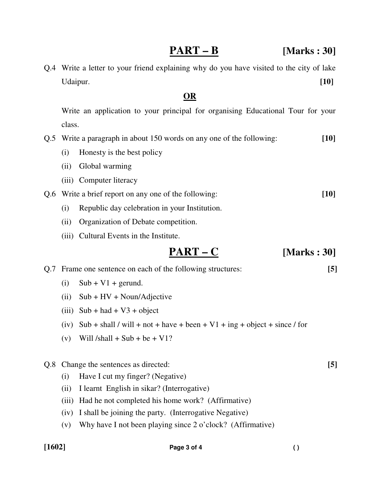### **PART – B [Marks : 30]**

Q.4 Write a letter to your friend explaining why do you have visited to the city of lake Udaipur. **[10]**

### **OR**

 Write an application to your principal for organising Educational Tour for your class.

Q.5 Write a paragraph in about 150 words on any one of the following: **[10]**

- (i) Honesty is the best policy
- (ii) Global warming
- (iii) Computer literacy
- Q.6 Write a brief report on any one of the following: **[10]**
	- (i) Republic day celebration in your Institution.
	- (ii) Organization of Debate competition.
	- (iii) Cultural Events in the Institute.

$$
\underline{PART-C} \qquad \qquad [Marks:30]
$$

Q.7 Frame one sentence on each of the following structures: **[5]**

- $(i)$  Sub + V1 + gerund.
- (ii) Sub + HV + Noun/Adjective
- (iii)  $Sub + had + V3 + object$
- (iv) Sub + shall / will + not + have + been + V1 + ing + object + since / for
- (v) Will  $/\text{shall} + \text{Sub} + \text{be} + \text{V}$

#### Q.8 Change the sentences as directed: **[5]**

- (i) Have I cut my finger? (Negative)
- (ii) I learnt English in sikar? (Interrogative)
- (iii) Had he not completed his home work? (Affirmative)
- (iv) I shall be joining the party. (Interrogative Negative)
- (v) Why have I not been playing since 2 o'clock? (Affirmative)

#### **[1602] Page 3 of 4 ( )**